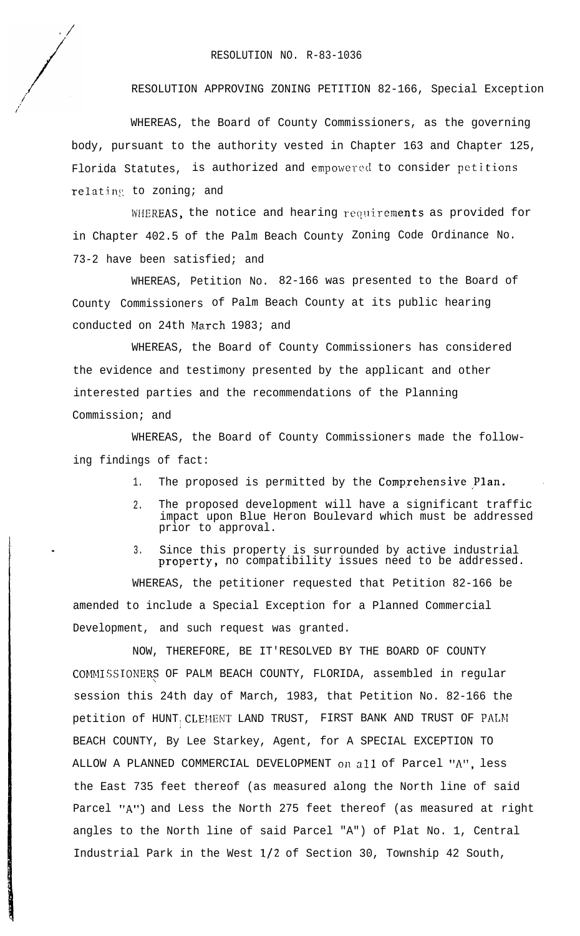## RESOLUTION NO. R-83-1036

RESOLUTION APPROVING ZONING PETITION 82-166, Special Exception

WHEREAS, the Board of County Commissioners, as the governing body, pursuant to the authority vested in Chapter 163 and Chapter 125, Florida Statutes, is authorized and empowered to consider petitions relating to zoning; and

WHEREAS, the notice and hearing requirements as provided for in Chapter 402.5 of the Palm Beach County Zoning Code Ordinance No. 73-2 have been satisfied; and

WHEREAS, Petition No. 82-166 was presented to the Board of County Commissioners of Palm Beach County at its public hearing conducted on 24th March 1983; and

WHEREAS, the Board of County Commissioners has considered the evidence and testimony presented by the applicant and other interested parties and the recommendations of the Planning Commission; and

WHEREAS, the Board of County Commissioners made the following findings of fact:

1. The proposed is permitted by the Comprehensive Plan.

- 2. The proposed development will have a significant traffic impact upon Blue Heron Boulevard which must be addressed prior to approval.
- 3. Since this property is surrounded by active industrial property, no compatibility issues need to be addressed.

WHEREAS, the petitioner requested that Petition 82-166 be amended to include a Special Exception for a Planned Commercial Development, and such request was granted.

NOW, THEREFORE, BE IT'RESOLVED BY THE BOARD OF COUNTY COMMISSIONERS OF PALM BEACH COUNTY, FLORIDA, assembled in regular session this 24th day of March, 1983, that Petition No. 82-166 the petition of HUNT CLEMENT LAND TRUST, FIRST BANK AND TRUST OF PALM  $\blacksquare$ BEACH COUNTY, By Lee Starkey, Agent, for A SPECIAL EXCEPTION TO ALLOW A PLANNED COMMERCIAL DEVELOPMENT on all of Parcel "A", less the East 735 feet thereof (as measured along the North line of said Parcel "A") and Less the North 275 feet thereof (as measured at right angles to the North line of said Parcel "A") of Plat No. 1, Central Industrial Park in the West l/2 of Section 30, Township 42 South,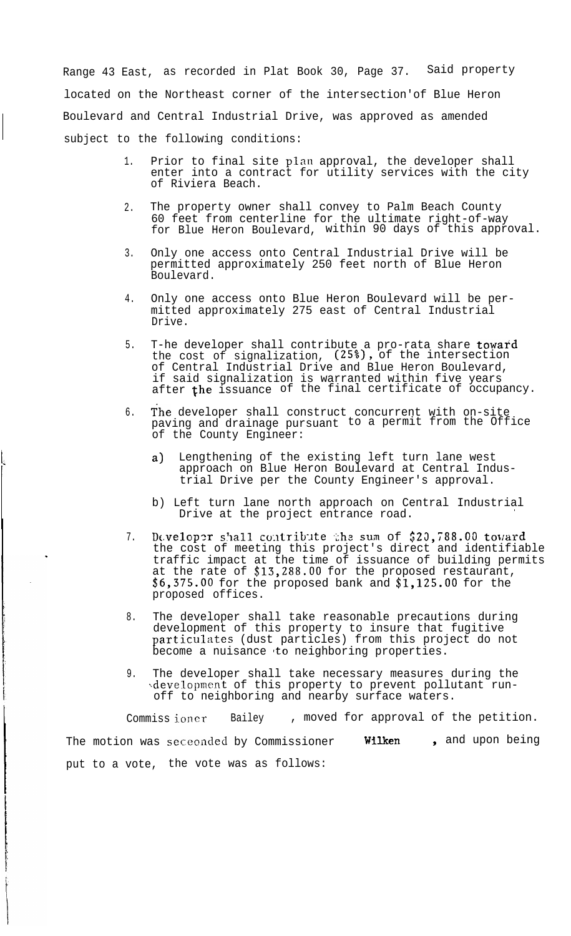Range 43 East, as recorded in Plat Book 30, Page 37. Said property located on the Northeast corner of the intersection'of Blue Heron Boulevard and Central Industrial Drive, was approved as amended subject to the following conditions:

- 1. Prior to final site plan approval, the developer shall enter into a contract for utility services with the city of Riviera Beach.
- $2^{\circ}$ The property owner shall convey to Palm Beach County 60 feet from centerline for the ultimate right-of-way for Blue Heron Boulevard, within 90 days of this approval.
- 3. Only one access onto Central Industrial Drive will be permitted approximately 250 feet north of Blue Heron Boulevard.
- 4. Only one access onto Blue Heron Boulevard will be permitted approximately 275 east of Central Industrial Drive.
- 5. T-he developer shall contribute a pro-rata share **toward** the cost of signalization, (25%), of the intersection of Central Industrial Drive and Blue Heron Boulevard, if said signalization is warranted within five years after  $\mathfrak t$ he issuance of the final certificate of occupancy.
- 6. The developer shall construct concurrent with on-site paving and drainage pursuant to a permit from the Office of the County Engineer:
	- a) Lengthening of the existing left turn lane west approach on Blue Heron Boulevard at Central Industrial Drive per the County Engineer's approval.
	- b) Left turn lane north approach on Central Industrial Drive at the project entrance road.
- 7. Daveloper shall contribute the sum of \$20,788.00 toward the cost of meeting this project's direct and identifiable traffic impact at the time of issuance of building permits at the rate of \$13,288.00 for the proposed restaurant,  $$6,375.00$  for the proposed bank and  $$1,125.00$  for the proposed offices.
- 8. The developer shall take reasonable precautions during development of this property to insure that fugitive particulates (dust particles) from this project do not become a nuisance to neighboring properties.
- 9. The developer shall take necessary measures during the ~.development of this property to prevent pollutant runoff to neighboring and nearby surface waters.

Commiss ioncr Bailey , moved for approval of the petition. The motion was seceonded by Commissioner Wilken , and upon being put to a vote, the vote was as follows: